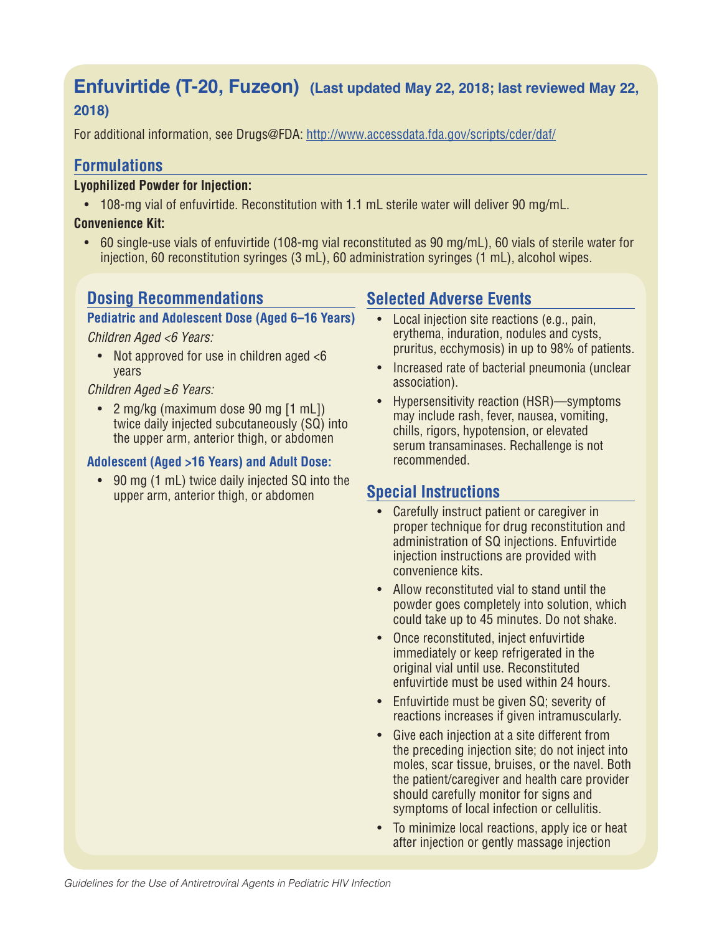# **Enfuvirtide (T-20, Fuzeon) (Last updated May 22, 2018; last reviewed May 22,**

## **2018)**

For additional information, see Drugs@FDA: http://www.accessdata.fda.gov/scripts/cder/daf/

## **Formulations**

## **Lyophilized Powder for Injection:**

• 108-mg vial of enfuvirtide. Reconstitution with 1.1 mL sterile water will deliver 90 mg/mL.

## **Convenience Kit:**

• 60 single-use vials of enfuvirtide (108-mg vial reconstituted as 90 mg/mL), 60 vials of sterile water for injection, 60 reconstitution syringes (3 mL), 60 administration syringes (1 mL), alcohol wipes.

## **Dosing Recommendations**

## **Pediatric and Adolescent Dose (Aged 6–16 Years)**

*Children Aged <6 Years:*

• Not approved for use in children aged  $<6$ years

## *Children Aged* ≥*6 Years:*

• 2 mg/kg (maximum dose 90 mg [1 mL]) twice daily injected subcutaneously (SQ) into the upper arm, anterior thigh, or abdomen

## **Adolescent (Aged >16 Years) and Adult Dose:**

• 90 mg (1 mL) twice daily injected SQ into the upper arm, anterior thigh, or abdomen

## **Selected Adverse Events**

- Local injection site reactions (e.g., pain, erythema, induration, nodules and cysts, pruritus, ecchymosis) in up to 98% of patients.
- Increased rate of bacterial pneumonia (unclear association).
- Hypersensitivity reaction (HSR)—symptoms may include rash, fever, nausea, vomiting, chills, rigors, hypotension, or elevated serum transaminases. Rechallenge is not recommended.

# **Special Instructions**

- Carefully instruct patient or caregiver in proper technique for drug reconstitution and administration of SQ injections. Enfuvirtide injection instructions are provided with convenience kits.
- Allow reconstituted vial to stand until the powder goes completely into solution, which could take up to 45 minutes. Do not shake.
- Once reconstituted, inject enfuvirtide immediately or keep refrigerated in the original vial until use. Reconstituted enfuvirtide must be used within 24 hours.
- Enfuvirtide must be given SQ; severity of reactions increases if given intramuscularly.
- Give each injection at a site different from the preceding injection site; do not inject into moles, scar tissue, bruises, or the navel. Both the patient/caregiver and health care provider should carefully monitor for signs and symptoms of local infection or cellulitis.
- To minimize local reactions, apply ice or heat after injection or gently massage injection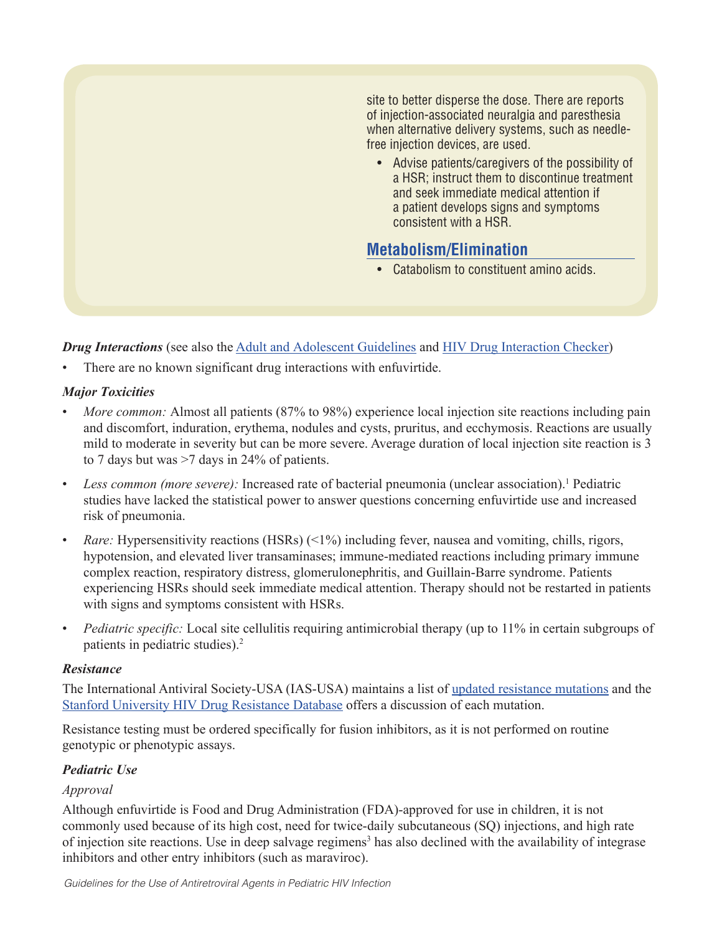site to better disperse the dose. There are reports of injection-associated neuralgia and paresthesia when alternative delivery systems, such as needlefree injection devices, are used.

• Advise patients/caregivers of the possibility of a HSR; instruct them to discontinue treatment and seek immediate medical attention if a patient develops signs and symptoms consistent with a HSR.

# **Metabolism/Elimination**

• Catabolism to constituent amino acids.

*Drug Interactions* (see also the Adult and Adolescent Guidelines and HIV Drug Interaction Checker)

There are no known significant drug interactions with enfuvirtide.

## *Major Toxicities*

- *More common:* Almost all patients (87% to 98%) experience local injection site reactions including pain and discomfort, induration, erythema, nodules and cysts, pruritus, and ecchymosis. Reactions are usually mild to moderate in severity but can be more severe. Average duration of local injection site reaction is 3 to 7 days but was >7 days in 24% of patients.
- Less common (more severe): Increased rate of bacterial pneumonia (unclear association).<sup>1</sup> Pediatric studies have lacked the statistical power to answer questions concerning enfuvirtide use and increased risk of pneumonia.
- *Rare:* Hypersensitivity reactions (HSRs) (<1%) including fever, nausea and vomiting, chills, rigors, hypotension, and elevated liver transaminases; immune-mediated reactions including primary immune complex reaction, respiratory distress, glomerulonephritis, and Guillain-Barre syndrome. Patients experiencing HSRs should seek immediate medical attention. Therapy should not be restarted in patients with signs and symptoms consistent with HSRs.
- *Pediatric specific:* Local site cellulitis requiring antimicrobial therapy (up to 11% in certain subgroups of patients in pediatric studies).2

## *Resistance*

The International Antiviral Society-USA (IAS-USA) maintains a list of updated resistance mutations and the Stanford University HIV Drug Resistance Database offers a discussion of each mutation.

Resistance testing must be ordered specifically for fusion inhibitors, as it is not performed on routine genotypic or phenotypic assays.

## *Pediatric Use*

## *Approval*

Although enfuvirtide is Food and Drug Administration (FDA)-approved for use in children, it is not commonly used because of its high cost, need for twice-daily subcutaneous (SQ) injections, and high rate of injection site reactions. Use in deep salvage regimens<sup>3</sup> has also declined with the availability of integrase inhibitors and other entry inhibitors (such as maraviroc).